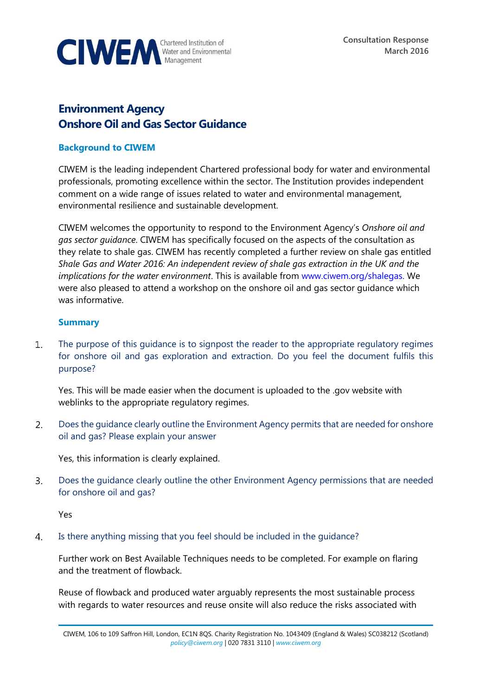

## **Environment Agency Onshore Oil and Gas Sector Guidance**

## **Background to CIWEM**

CIWEM is the leading independent Chartered professional body for water and environmental professionals, promoting excellence within the sector. The Institution provides independent comment on a wide range of issues related to water and environmental management, environmental resilience and sustainable development.

CIWEM welcomes the opportunity to respond to the Environment Agency's *Onshore oil and gas sector guidance*. CIWEM has specifically focused on the aspects of the consultation as they relate to shale gas. CIWEM has recently completed a further review on shale gas entitled *Shale Gas and Water 2016: An independent review of shale gas extraction in the UK and the implications for the water environment*. This is available from [www.ciwem.org/shalegas.](http://www.ciwem.org/shalegas) We were also pleased to attend a workshop on the onshore oil and gas sector guidance which was informative.

## **Summary**

 $\mathbf{1}$ . The purpose of this guidance is to signpost the reader to the appropriate regulatory regimes for onshore oil and gas exploration and extraction. Do you feel the document fulfils this purpose?

Yes. This will be made easier when the document is uploaded to the .gov website with weblinks to the appropriate regulatory regimes.

 $2.$ Does the guidance clearly outline the Environment Agency permits that are needed for onshore oil and gas? Please explain your answer

Yes, this information is clearly explained.

3. Does the guidance clearly outline the other Environment Agency permissions that are needed for onshore oil and gas?

Yes

 $\overline{4}$ . Is there anything missing that you feel should be included in the guidance?

Further work on Best Available Techniques needs to be completed. For example on flaring and the treatment of flowback.

Reuse of flowback and produced water arguably represents the most sustainable process with regards to water resources and reuse onsite will also reduce the risks associated with

CIWEM, 106 to 109 Saffron Hill, London, EC1N 8QS. Charity Registration No. 1043409 (England & Wales) SC038212 (Scotland) *[policy@ciwem.org](mailto:policy@ciwem.org)* | 020 7831 3110 | *[www.ciwem.org](http://www.ciwem.org/)*